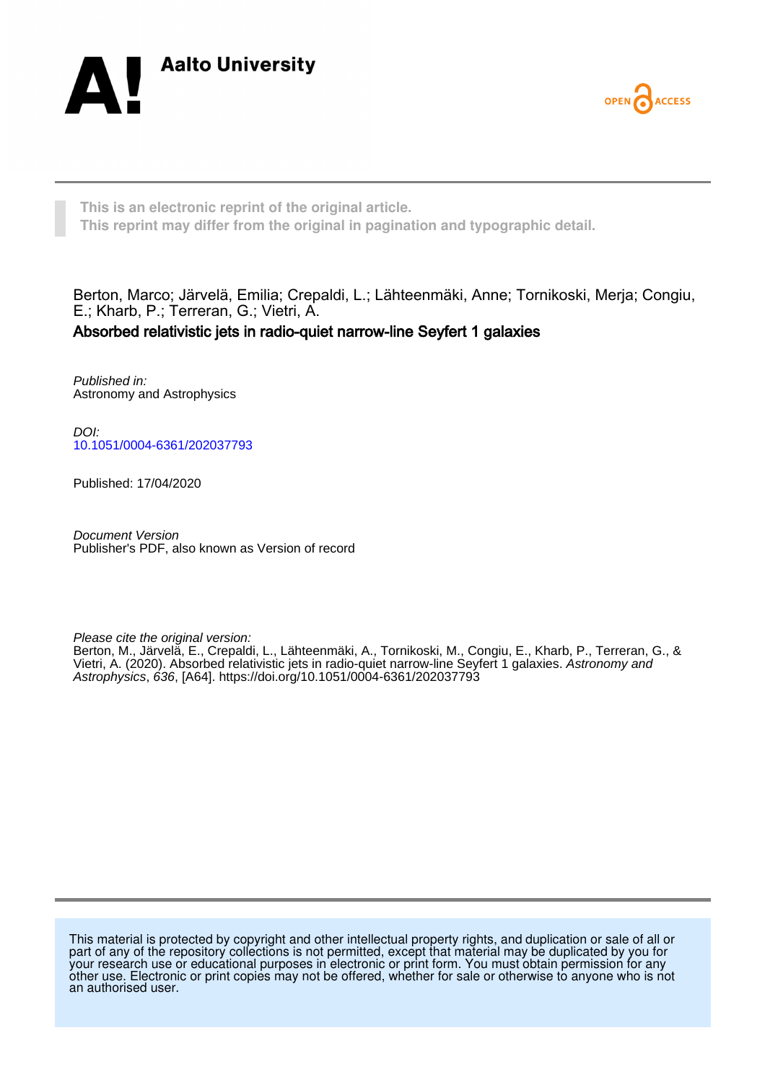



**This is an electronic reprint of the original article. This reprint may differ from the original in pagination and typographic detail.**

Berton, Marco; Järvelä, Emilia; Crepaldi, L.; Lähteenmäki, Anne; Tornikoski, Merja; Congiu, E.; Kharb, P.; Terreran, G.; Vietri, A. Absorbed relativistic jets in radio-quiet narrow-line Seyfert 1 galaxies

Published in: Astronomy and Astrophysics

DOI: [10.1051/0004-6361/202037793](https://doi.org/10.1051/0004-6361/202037793)

Published: 17/04/2020

Document Version Publisher's PDF, also known as Version of record

Please cite the original version:

Berton, M., Järvelä, E., Crepaldi, L., Lähteenmäki, A., Tornikoski, M., Congiu, E., Kharb, P., Terreran, G., & Vietri, A. (2020). Absorbed relativistic jets in radio-quiet narrow-line Seyfert 1 galaxies. Astronomy and Astrophysics, 636, [A64].<https://doi.org/10.1051/0004-6361/202037793>

This material is protected by copyright and other intellectual property rights, and duplication or sale of all or part of any of the repository collections is not permitted, except that material may be duplicated by you for your research use or educational purposes in electronic or print form. You must obtain permission for any other use. Electronic or print copies may not be offered, whether for sale or otherwise to anyone who is not an authorised user.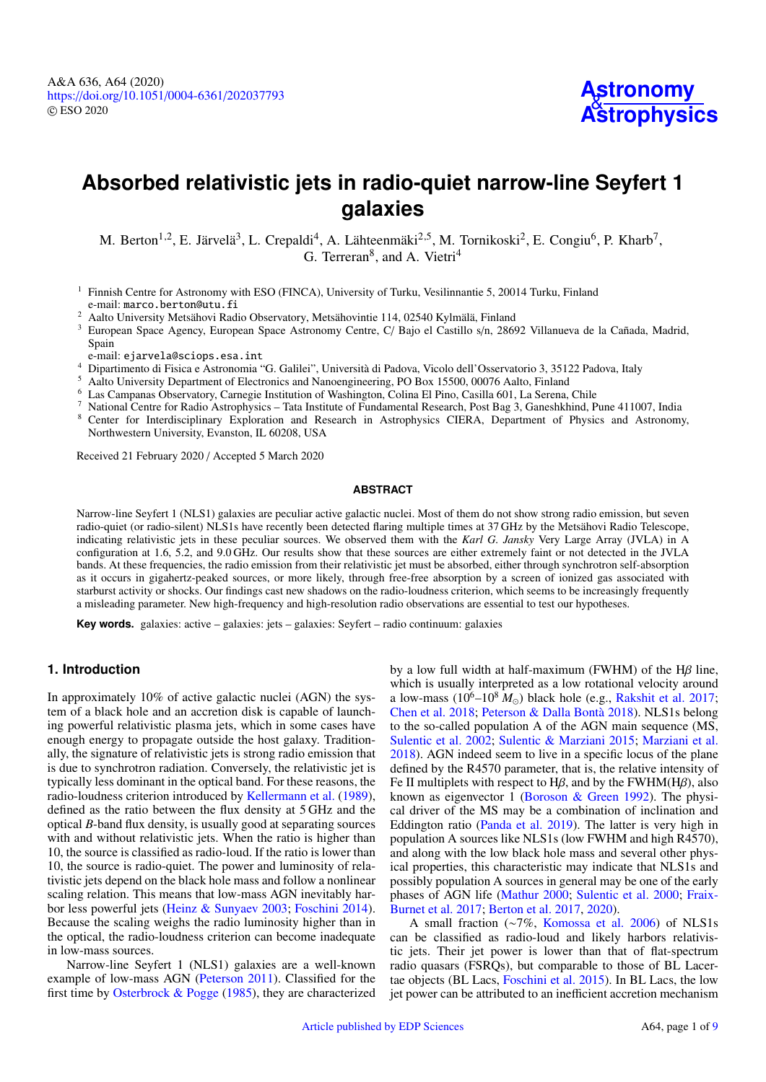# **Absorbed relativistic jets in radio-quiet narrow-line Seyfert 1 galaxies**

M. Berton<sup>[1](#page-1-0)[,2](#page-1-1)</sup>, E. Järvelä<sup>[3](#page-1-2)</sup>, L. Crepaldi<sup>[4](#page-1-3)</sup>, A. Lähteenmäki<sup>[2](#page-1-1)[,5](#page-1-4)</sup>, M. Tornikoski<sup>2</sup>, E. Congiu<sup>[6](#page-1-5)</sup>, P. Kharb<sup>[7](#page-1-6)</sup>, G. Terreran<sup>[8](#page-1-7)</sup>, and A. Vietri<sup>[4](#page-1-3)</sup>

<span id="page-1-0"></span><sup>1</sup> Finnish Centre for Astronomy with ESO (FINCA), University of Turku, Vesilinnantie 5, 20014 Turku, Finland e-mail: marco.berton@utu.fi

<span id="page-1-1"></span><sup>2</sup> Aalto University Metsähovi Radio Observatory, Metsähovintie 114, 02540 Kylmälä, Finland

<span id="page-1-2"></span><sup>3</sup> European Space Agency, European Space Astronomy Centre, C/ Bajo el Castillo s/n, 28692 Villanueva de la Cañada, Madrid, Spain

e-mail: ejarvela@sciops.esa.int

<span id="page-1-3"></span><sup>4</sup> Dipartimento di Fisica e Astronomia "G. Galilei", Università di Padova, Vicolo dell'Osservatorio 3, 35122 Padova, Italy

<span id="page-1-4"></span><sup>5</sup> Aalto University Department of Electronics and Nanoengineering, PO Box 15500, 00076 Aalto, Finland<br><sup>6</sup> Lee Courange Observation, Cameric Institution of Weslington, Colina El Dine, Corilla 601, Le Servat

- <span id="page-1-5"></span><sup>6</sup> Las Campanas Observatory, Carnegie Institution of Washington, Colina El Pino, Casilla 601, La Serena, Chile
- <span id="page-1-6"></span><sup>7</sup> National Centre for Radio Astrophysics – Tata Institute of Fundamental Research, Post Bag 3, Ganeshkhind, Pune 411007, India
- <span id="page-1-7"></span><sup>8</sup> Center for Interdisciplinary Exploration and Research in Astrophysics CIERA, Department of Physics and Astronomy, Northwestern University, Evanston, IL 60208, USA

Received 21 February 2020 / Accepted 5 March 2020

#### **ABSTRACT**

Narrow-line Seyfert 1 (NLS1) galaxies are peculiar active galactic nuclei. Most of them do not show strong radio emission, but seven radio-quiet (or radio-silent) NLS1s have recently been detected flaring multiple times at 37 GHz by the Metsähovi Radio Telescope, indicating relativistic jets in these peculiar sources. We observed them with the *Karl G. Jansky* Very Large Array (JVLA) in A configuration at 1.6, 5.2, and 9.0 GHz. Our results show that these sources are either extremely faint or not detected in the JVLA bands. At these frequencies, the radio emission from their relativistic jet must be absorbed, either through synchrotron self-absorption as it occurs in gigahertz-peaked sources, or more likely, through free-free absorption by a screen of ionized gas associated with starburst activity or shocks. Our findings cast new shadows on the radio-loudness criterion, which seems to be increasingly frequently a misleading parameter. New high-frequency and high-resolution radio observations are essential to test our hypotheses.

**Key words.** galaxies: active – galaxies: jets – galaxies: Seyfert – radio continuum: galaxies

# **1. Introduction**

In approximately 10% of active galactic nuclei (AGN) the system of a black hole and an accretion disk is capable of launching powerful relativistic plasma jets, which in some cases have enough energy to propagate outside the host galaxy. Traditionally, the signature of relativistic jets is strong radio emission that is due to synchrotron radiation. Conversely, the relativistic jet is typically less dominant in the optical band. For these reasons, the radio-loudness criterion introduced by [Kellermann et al.](#page-9-0) [\(1989\)](#page-9-0), defined as the ratio between the flux density at 5 GHz and the optical *B*-band flux density, is usually good at separating sources with and without relativistic jets. When the ratio is higher than 10, the source is classified as radio-loud. If the ratio is lower than 10, the source is radio-quiet. The power and luminosity of relativistic jets depend on the black hole mass and follow a nonlinear scaling relation. This means that low-mass AGN inevitably harbor less powerful jets [\(Heinz & Sunyaev 2003;](#page-9-1) [Foschini 2014\)](#page-9-2). Because the scaling weighs the radio luminosity higher than in the optical, the radio-loudness criterion can become inadequate in low-mass sources.

Narrow-line Seyfert 1 (NLS1) galaxies are a well-known example of low-mass AGN [\(Peterson 2011\)](#page-9-3). Classified for the first time by [Osterbrock & Pogge](#page-9-4) [\(1985\)](#page-9-4), they are characterized

by a low full width at half-maximum (FWHM) of the H $\beta$  line, which is usually interpreted as a low rotational velocity around a low-mass  $(10^6 - 10^8 M_{\odot})$  black hole (e.g., [Rakshit et al. 2017;](#page-9-5) [Chen et al. 2018;](#page-9-6) [Peterson & Dalla Bontà 2018\)](#page-9-7). NLS1s belong to the so-called population A of the AGN main sequence (MS, [Sulentic et al. 2002;](#page-9-8) [Sulentic & Marziani 2015;](#page-9-9) [Marziani et al.](#page-9-10) [2018\)](#page-9-10). AGN indeed seem to live in a specific locus of the plane defined by the R4570 parameter, that is, the relative intensity of Fe II multiplets with respect to H $\beta$ , and by the FWHM(H $\beta$ ), also known as eigenvector 1 [\(Boroson & Green 1992\)](#page-9-11). The physical driver of the MS may be a combination of inclination and Eddington ratio [\(Panda et al. 2019\)](#page-9-12). The latter is very high in population A sources like NLS1s (low FWHM and high R4570), and along with the low black hole mass and several other physical properties, this characteristic may indicate that NLS1s and possibly population A sources in general may be one of the early phases of AGN life [\(Mathur 2000;](#page-9-13) [Sulentic et al. 2000;](#page-9-14) [Fraix-](#page-9-15)[Burnet et al. 2017;](#page-9-15) [Berton et al. 2017,](#page-9-16) [2020\)](#page-9-17).

A small fraction (∼7%, [Komossa et al. 2006\)](#page-9-18) of NLS1s can be classified as radio-loud and likely harbors relativistic jets. Their jet power is lower than that of flat-spectrum radio quasars (FSRQs), but comparable to those of BL Lacertae objects (BL Lacs, [Foschini et al. 2015\)](#page-9-19). In BL Lacs, the low jet power can be attributed to an inefficient accretion mechanism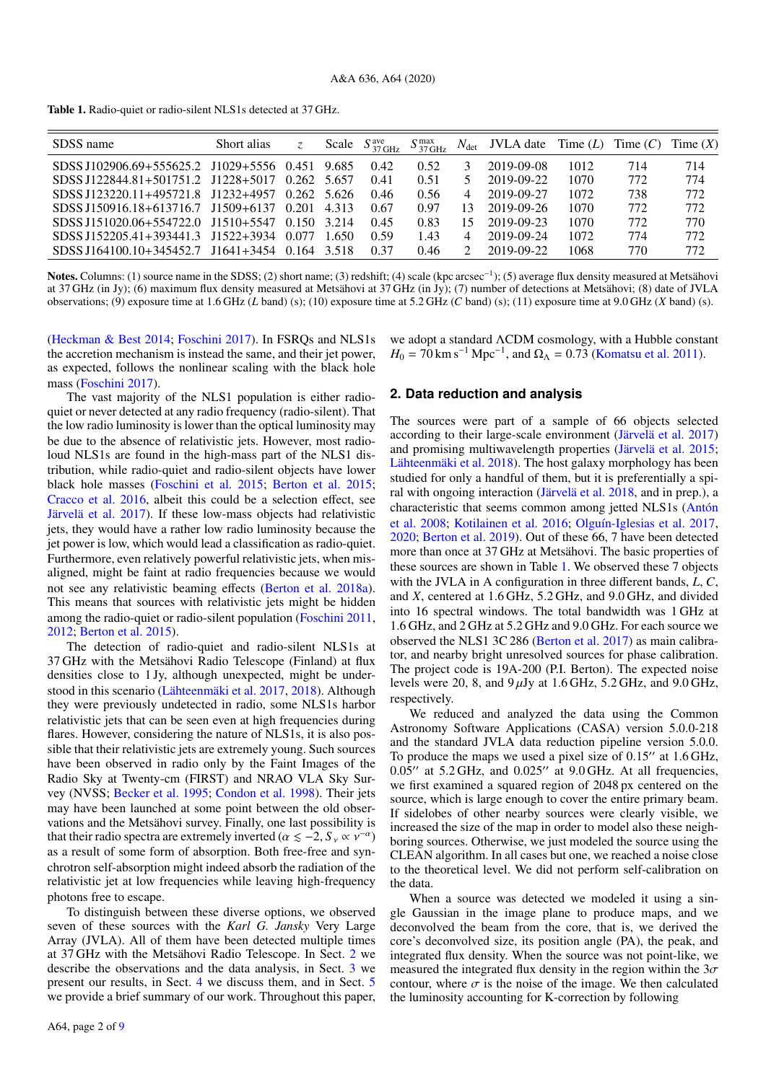<span id="page-2-1"></span>Table 1. Radio-quiet or radio-silent NLS1s detected at 37 GHz.

| SDSS name                                       | Short alias |             |             | Scale $S_{37\text{ GHz}}^{\text{ave}}$ | $S_{37 \text{ GHz}}^{\text{max}}$ |                | $N_{\text{det}}$ JVLA date Time ( <i>L</i> ) Time ( <i>C</i> ) |      |     | Time $(X)$ |
|-------------------------------------------------|-------------|-------------|-------------|----------------------------------------|-----------------------------------|----------------|----------------------------------------------------------------|------|-----|------------|
| SDSS J102906.69+555625.2 J1029+5556 0.451 9.685 |             |             |             | 0.42                                   | 0.52                              | 3              | 2019-09-08                                                     | 1012 | 714 | 714        |
| SDSS I122844.81+501751.2 I1228+5017             |             | 0.262       | - 5.657     | 0.41                                   | 0.51                              | $\mathcal{D}$  | 2019-09-22                                                     | 1070 | 772 | 774        |
| SDSS J123220.11+495721.8 J1232+4957             |             |             | 0.262 5.626 | 0.46                                   | 0.56                              | $\overline{4}$ | 2019-09-27                                                     | 1072 | 738 | 772        |
| SDSS J150916.18+613716.7 J1509+6137 0.201       |             |             | 4.313       | 0.67                                   | 0.97                              | 13             | 2019-09-26                                                     | 1070 | 772 | 772        |
| SDSS J151020.06+554722.0 J1510+5547             |             | 0.150 3.214 |             | 0.45                                   | 0.83                              | 15             | 2019-09-23                                                     | 1070 | 772 | 770        |
| SDSS J152205.41+393441.3 J1522+3934             |             | 0.077       | 1.650       | 0.59                                   | 1.43                              | 4              | 2019-09-24                                                     | 1072 | 774 | 772        |
| SDSS J164100.10+345452.7 J1641+3454             |             | 0.164       | 3.518       | 0.37                                   | 0.46                              | $\mathcal{L}$  | 2019-09-22                                                     | 1068 | 770 | 772        |

Notes. Columns: (1) source name in the SDSS; (2) short name; (3) redshift; (4) scale (kpc arcsec<sup>-1</sup>); (5) average flux density measured at Metsähovi at 37 GHz (in Jy); (6) maximum flux density measured at Metsähovi at 37 GHz (in Jy); (7) number of detections at Metsähovi; (8) date of JVLA observations; (9) exposure time at 1.6 GHz (*L* band) (s); (10) exposure time at 5.2 GHz (*C* band) (s); (11) exposure time at 9.0 GHz (*X* band) (s).

[\(Heckman & Best 2014;](#page-9-21) [Foschini 2017\)](#page-9-22). In FSRQs and NLS1s the accretion mechanism is instead the same, and their jet power, as expected, follows the nonlinear scaling with the black hole mass [\(Foschini 2017\)](#page-9-22).

The vast majority of the NLS1 population is either radioquiet or never detected at any radio frequency (radio-silent). That the low radio luminosity is lower than the optical luminosity may be due to the absence of relativistic jets. However, most radioloud NLS1s are found in the high-mass part of the NLS1 distribution, while radio-quiet and radio-silent objects have lower black hole masses [\(Foschini et al. 2015;](#page-9-19) [Berton et al. 2015;](#page-9-23) [Cracco et al. 2016,](#page-9-24) albeit this could be a selection effect, see [Järvelä et al. 2017\)](#page-9-25). If these low-mass objects had relativistic jets, they would have a rather low radio luminosity because the jet power is low, which would lead a classification as radio-quiet. Furthermore, even relatively powerful relativistic jets, when misaligned, might be faint at radio frequencies because we would not see any relativistic beaming effects [\(Berton et al. 2018a\)](#page-9-26). This means that sources with relativistic jets might be hidden among the radio-quiet or radio-silent population [\(Foschini 2011,](#page-9-27) [2012;](#page-9-28) [Berton et al. 2015\)](#page-9-23).

The detection of radio-quiet and radio-silent NLS1s at 37 GHz with the Metsähovi Radio Telescope (Finland) at flux densities close to 1 Jy, although unexpected, might be understood in this scenario [\(Lähteenmäki et al. 2017,](#page-9-29) [2018\)](#page-9-30). Although they were previously undetected in radio, some NLS1s harbor relativistic jets that can be seen even at high frequencies during flares. However, considering the nature of NLS1s, it is also possible that their relativistic jets are extremely young. Such sources have been observed in radio only by the Faint Images of the Radio Sky at Twenty-cm (FIRST) and NRAO VLA Sky Survey (NVSS; [Becker et al. 1995;](#page-9-31) [Condon et al. 1998\)](#page-9-32). Their jets may have been launched at some point between the old observations and the Metsähovi survey. Finally, one last possibility is that their radio spectra are extremely inverted ( $\alpha \le -2$ ,  $S_v \propto v^{-\alpha}$ )<br>as a result of some form of absorption. Both free-free and synas a result of some form of absorption. Both free-free and synchrotron self-absorption might indeed absorb the radiation of the relativistic jet at low frequencies while leaving high-frequency photons free to escape.

To distinguish between these diverse options, we observed seven of these sources with the *Karl G. Jansky* Very Large Array (JVLA). All of them have been detected multiple times at 37 GHz with the Metsähovi Radio Telescope. In Sect. [2](#page-2-0) we describe the observations and the data analysis, in Sect. [3](#page-3-0) we present our results, in Sect. [4](#page-5-0) we discuss them, and in Sect. [5](#page-8-0) we provide a brief summary of our work. Throughout this paper, we adopt a standard ΛCDM cosmology, with a Hubble constant  $H_0 = 70 \text{ km s}^{-1} \text{ Mpc}^{-1}$ , and  $\Omega_{\Lambda} = 0.73$  [\(Komatsu et al. 2011\)](#page-9-33).

#### <span id="page-2-0"></span>**2. Data reduction and analysis**

The sources were part of a sample of 66 objects selected according to their large-scale environment [\(Järvelä et al. 2017\)](#page-9-25) and promising multiwavelength properties [\(Järvelä et al. 2015;](#page-9-34) [Lähteenmäki et al. 2018\)](#page-9-30). The host galaxy morphology has been studied for only a handful of them, but it is preferentially a spiral with ongoing interaction [\(Järvelä et al. 2018,](#page-9-35) and in prep.), a characteristic that seems common among jetted NLS1s [\(Antón](#page-9-36) [et al. 2008;](#page-9-36) [Kotilainen et al. 2016;](#page-9-37) [Olguín-Iglesias et al. 2017,](#page-9-38) [2020;](#page-9-39) [Berton et al. 2019\)](#page-9-40). Out of these 66, 7 have been detected more than once at 37 GHz at Metsähovi. The basic properties of these sources are shown in Table [1.](#page-2-1) We observed these 7 objects with the JVLA in A configuration in three different bands, *L*, *C*, and *X*, centered at 1.6 GHz, 5.2 GHz, and 9.0 GHz, and divided into 16 spectral windows. The total bandwidth was 1 GHz at 1.6 GHz, and 2 GHz at 5.2 GHz and 9.0 GHz. For each source we observed the NLS1 3C 286 [\(Berton et al. 2017\)](#page-9-16) as main calibrator, and nearby bright unresolved sources for phase calibration. The project code is 19A-200 (P.I. Berton). The expected noise levels were 20, 8, and  $9 \mu$ Jy at 1.6 GHz, 5.2 GHz, and 9.0 GHz, respectively.

We reduced and analyzed the data using the Common Astronomy Software Applications (CASA) version 5.0.0-218 and the standard JVLA data reduction pipeline version 5.0.0. To produce the maps we used a pixel size of  $0.15$ " at  $1.6$  GHz,  $0.05$ " at  $5.2$  GHz, and  $0.025$ " at  $9.0$  GHz. At all frequencies, we first examined a squared region of 2048 px centered on the source, which is large enough to cover the entire primary beam. If sidelobes of other nearby sources were clearly visible, we increased the size of the map in order to model also these neighboring sources. Otherwise, we just modeled the source using the CLEAN algorithm. In all cases but one, we reached a noise close to the theoretical level. We did not perform self-calibration on the data.

When a source was detected we modeled it using a single Gaussian in the image plane to produce maps, and we deconvolved the beam from the core, that is, we derived the core's deconvolved size, its position angle (PA), the peak, and integrated flux density. When the source was not point-like, we measured the integrated flux density in the region within the  $3\sigma$ contour, where  $\sigma$  is the noise of the image. We then calculated the luminosity accounting for K-correction by following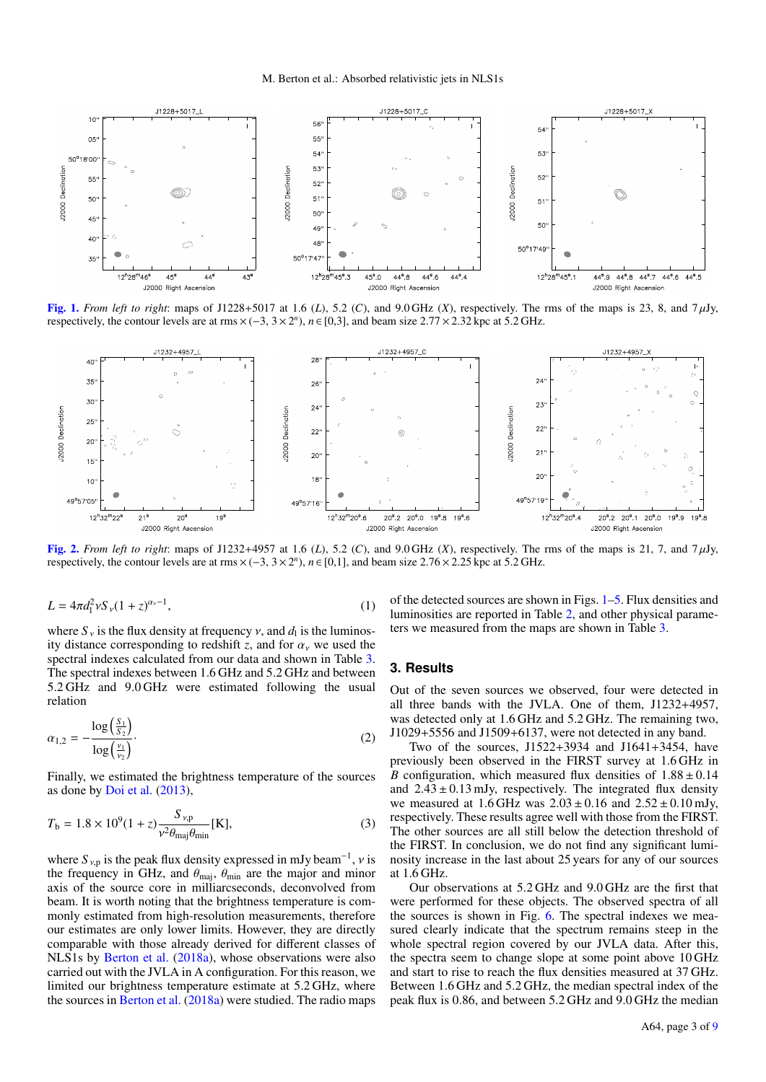

<span id="page-3-1"></span>[Fig. 1.](https://dexter.edpsciences.org/applet.php?DOI=10.1051/0004-6361/202037793&pdf_id=1) *From left to right*: maps of J1228+5017 at 1.6 (*L*), 5.2 (*C*), and 9.0 GHz (*X*), respectively. The rms of the maps is 23, 8, and 7  $\mu$ Jy, respectively, the contour levels are at rms  $\times$  (-3,  $3 \times 2^n$ ),  $n \in [0,3]$ , and beam size 2.77  $\times$  2.32 kpc at 5.2 GHz.



[Fig. 2.](https://dexter.edpsciences.org/applet.php?DOI=10.1051/0004-6361/202037793&pdf_id=2) From left to right: maps of J1232+4957 at 1.6 (*L*), 5.2 (*C*), and 9.0 GHz (*X*), respectively. The rms of the maps is 21, 7, and 7  $\mu$ Jy, respectively, the contour levels are at rms  $\times$  (-3,  $3 \times 2^n$ ),  $n \in [0,1]$ , and beam size 2.76  $\times$  2.25 kpc at 5.2 GHz.

$$
L = 4\pi d_1^2 v S_v (1+z)^{\alpha_v - 1},\tag{1}
$$

where  $S_y$  is the flux density at frequency  $v$ , and  $d_1$  is the luminos-<br>ity distance corresponding to redshift z and for  $\alpha$ , we used the ity distance corresponding to redshift *z*, and for  $\alpha$ <sup>*v*</sup> we used the spectral indexes calculated from our data and shown in Table [3.](#page-6-0) The spectral indexes between 1.6 GHz and 5.2 GHz and between 5.2 GHz and 9.0 GHz were estimated following the usual relation

$$
\alpha_{1,2} = -\frac{\log\left(\frac{S_1}{S_2}\right)}{\log\left(\frac{\nu_1}{\nu_2}\right)}.\tag{2}
$$

Finally, we estimated the brightness temperature of the sources as done by [Doi et al.](#page-9-41) [\(2013\)](#page-9-41),

$$
T_{\rm b} = 1.8 \times 10^9 (1+z) \frac{S_{\nu, \rm p}}{\nu^2 \theta_{\rm maj} \theta_{\rm min}} [\rm K], \tag{3}
$$

where  $S_{v,p}$  is the peak flux density expressed in mJy beam<sup>-1</sup>, *v* is<br>the frequency in GHz, and  $\theta_{\text{mid}}$ ,  $\theta_{\text{min}}$  are the major and minor the frequency in GHz, and  $\theta_{\text{maj}}$ ,  $\theta_{\text{min}}$  are the major and minor axis of the source core in milliarcseconds, deconvolved from beam. It is worth noting that the brightness temperature is commonly estimated from high-resolution measurements, therefore our estimates are only lower limits. However, they are directly comparable with those already derived for different classes of NLS1s by [Berton et al.](#page-9-26) [\(2018a\)](#page-9-26), whose observations were also carried out with the JVLA in A configuration. For this reason, we limited our brightness temperature estimate at 5.2 GHz, where the sources in [Berton et al.](#page-9-26) [\(2018a\)](#page-9-26) were studied. The radio maps

of the detected sources are shown in Figs. [1–](#page-3-1)[5.](#page-4-0) Flux densities and luminosities are reported in Table [2,](#page-5-1) and other physical parameters we measured from the maps are shown in Table [3.](#page-6-0)

## <span id="page-3-0"></span>**3. Results**

Out of the seven sources we observed, four were detected in all three bands with the JVLA. One of them, J1232+4957, was detected only at 1.6 GHz and 5.2 GHz. The remaining two, J1029+5556 and J1509+6137, were not detected in any band.

Two of the sources, J1522+3934 and J1641+3454, have previously been observed in the FIRST survey at 1.6 GHz in *B* configuration, which measured flux densities of  $1.88 \pm 0.14$ and  $2.43 \pm 0.13$  mJy, respectively. The integrated flux density we measured at  $1.6 \text{ GHz}$  was  $2.03 \pm 0.16$  and  $2.52 \pm 0.10 \text{ mJy}$ , respectively. These results agree well with those from the FIRST. The other sources are all still below the detection threshold of the FIRST. In conclusion, we do not find any significant luminosity increase in the last about 25 years for any of our sources at 1.6 GHz.

Our observations at 5.2 GHz and 9.0 GHz are the first that were performed for these objects. The observed spectra of all the sources is shown in Fig. [6.](#page-5-2) The spectral indexes we measured clearly indicate that the spectrum remains steep in the whole spectral region covered by our JVLA data. After this, the spectra seem to change slope at some point above 10 GHz and start to rise to reach the flux densities measured at 37 GHz. Between 1.6 GHz and 5.2 GHz, the median spectral index of the peak flux is 0.86, and between 5.2 GHz and 9.0 GHz the median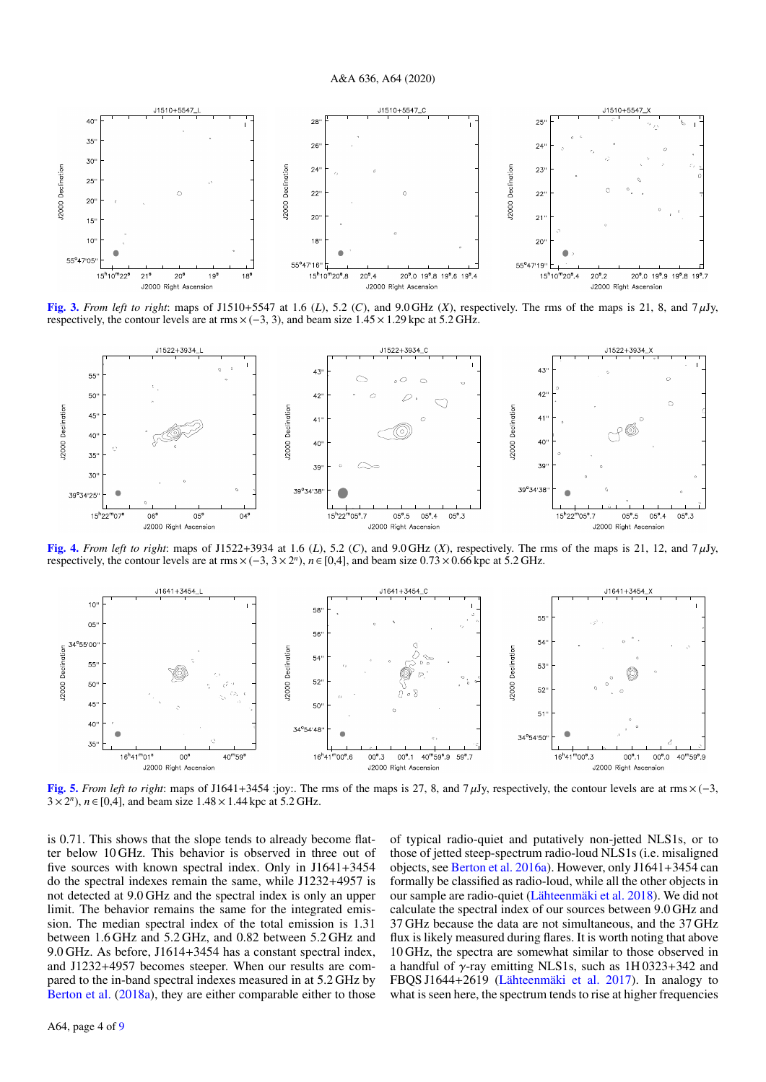

[Fig. 3.](https://dexter.edpsciences.org/applet.php?DOI=10.1051/0004-6361/202037793&pdf_id=3) From left to right: maps of J1510+5547 at 1.6 (L), 5.2 (C), and 9.0 GHz (X), respectively. The rms of the maps is 21, 8, and  $7 \mu Jy$ , respectively, the contour levels are at rms  $\times$  (-3, 3), and beam size 1.45  $\times$  1.29 kpc at 5.2 GHz.



<span id="page-4-1"></span>[Fig. 4.](https://dexter.edpsciences.org/applet.php?DOI=10.1051/0004-6361/202037793&pdf_id=4) *From left to right*: maps of J1522+3934 at 1.6 (*L*), 5.2 (*C*), and 9.0 GHz (*X*), respectively. The rms of the maps is 21, 12, and 7  $\mu$ Jy, respectively, the contour levels are at rms  $\times$  (-3, 3  $\times$  2<sup>n</sup>),  $n \in [0,4]$ , and beam size 0.73  $\times$  0.66 kpc at 5.2 GHz.



<span id="page-4-0"></span>[Fig. 5.](https://dexter.edpsciences.org/applet.php?DOI=10.1051/0004-6361/202037793&pdf_id=5) *From left to right*: maps of J1641+3454 :joy:. The rms of the maps is 27, 8, and 7 µJy, respectively, the contour levels are at rms <sup>×</sup> (−3,  $3 \times 2^n$ ,  $n \in [0,4]$ , and beam size  $1.48 \times 1.44$  kpc at  $5.2$  GHz.

is 0.71. This shows that the slope tends to already become flatter below 10 GHz. This behavior is observed in three out of five sources with known spectral index. Only in J1641+3454 do the spectral indexes remain the same, while J1232+4957 is not detected at 9.0 GHz and the spectral index is only an upper limit. The behavior remains the same for the integrated emission. The median spectral index of the total emission is 1.31 between 1.6 GHz and 5.2 GHz, and 0.82 between 5.2 GHz and 9.0 GHz. As before, J1614+3454 has a constant spectral index, and J1232+4957 becomes steeper. When our results are compared to the in-band spectral indexes measured in at 5.2 GHz by [Berton et al.](#page-9-26) [\(2018a\)](#page-9-26), they are either comparable either to those

of typical radio-quiet and putatively non-jetted NLS1s, or to those of jetted steep-spectrum radio-loud NLS1s (i.e. misaligned objects, see [Berton et al. 2016a\)](#page-9-42). However, only J1641+3454 can formally be classified as radio-loud, while all the other objects in our sample are radio-quiet [\(Lähteenmäki et al. 2018\)](#page-9-30). We did not calculate the spectral index of our sources between 9.0 GHz and 37 GHz because the data are not simultaneous, and the 37 GHz flux is likely measured during flares. It is worth noting that above 10 GHz, the spectra are somewhat similar to those observed in a handful of  $\gamma$ -ray emitting NLS1s, such as 1H 0323+342 and FBQS J1644+2619 [\(Lähteenmäki et al. 2017\)](#page-9-29). In analogy to what is seen here, the spectrum tends to rise at higher frequencies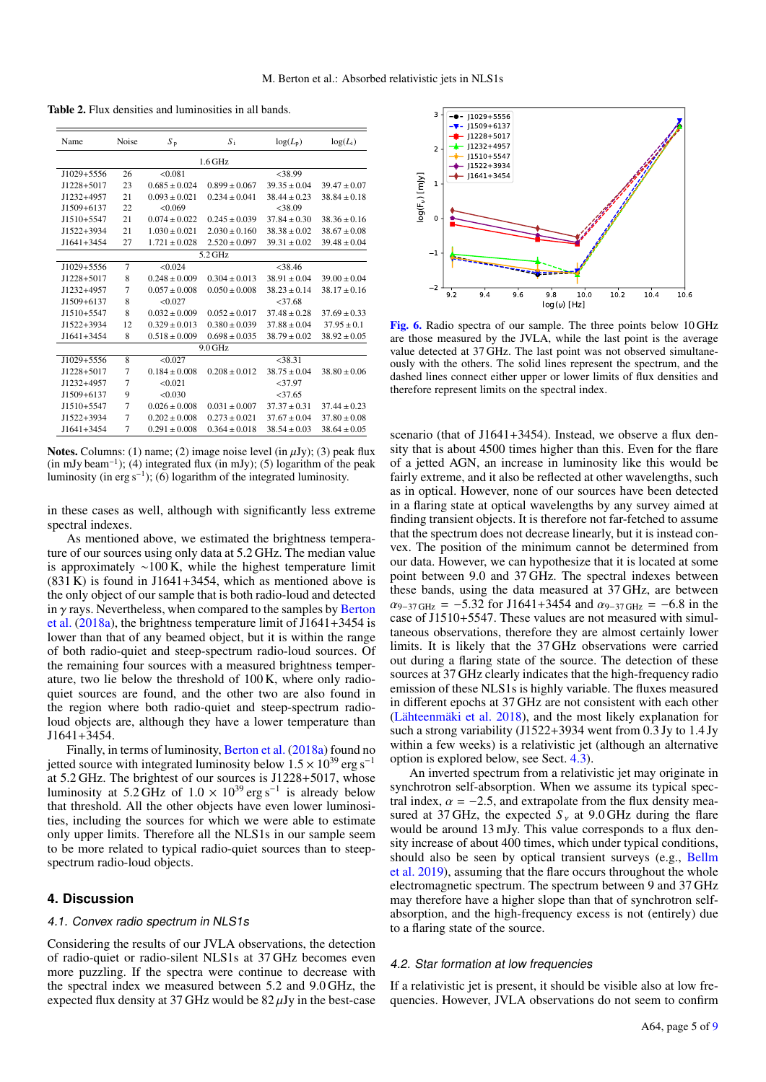<span id="page-5-1"></span>Table 2. Flux densities and luminosities in all bands.

| Name           | Noise          | $S_{\rm p}$       | $S_{1}$           | $log(L_p)$       | $log(L_i)$       |  |  |  |  |
|----------------|----------------|-------------------|-------------------|------------------|------------------|--|--|--|--|
| $1.6$ GHz      |                |                   |                   |                  |                  |  |  |  |  |
| J1029+5556     | 26             | < 0.081           |                   | $<$ 38.99        |                  |  |  |  |  |
| $J1228 + 5017$ | 23             | $0.685 + 0.024$   | $0.899 + 0.067$   | $39.35 + 0.04$   | $39.47 + 0.07$   |  |  |  |  |
| J1232+4957     | 21             | $0.093 + 0.021$   | $0.234 + 0.041$   | $38.44 + 0.23$   | $38.84 \pm 0.18$ |  |  |  |  |
| $J1509 + 6137$ | 22             | < 0.069           |                   | $<$ 38.09        |                  |  |  |  |  |
| J1510+5547     | 21             | $0.074 + 0.022$   | $0.245 + 0.039$   | $37.84 + 0.30$   | $38.36 + 0.16$   |  |  |  |  |
| J1522+3934     | 21             | $1.030 + 0.021$   | $2.030 + 0.160$   | $38.38 + 0.02$   | $38.67 + 0.08$   |  |  |  |  |
| $J1641 + 3454$ | 27             | $1.721 \pm 0.028$ | $2.520 \pm 0.097$ | $39.31 \pm 0.02$ | $39.48 \pm 0.04$ |  |  |  |  |
| $5.2$ GHz      |                |                   |                   |                  |                  |  |  |  |  |
| J1029+5556     | $\overline{7}$ | < 0.024           |                   | $<$ 38.46        |                  |  |  |  |  |
| $J1228 + 5017$ | 8              | $0.248 + 0.009$   | $0.304 + 0.013$   | $38.91 + 0.04$   | $39.00 + 0.04$   |  |  |  |  |
| J1232+4957     | $\overline{7}$ | $0.057 + 0.008$   | $0.050 \pm 0.008$ | $38.23 + 0.14$   | $38.17 \pm 0.16$ |  |  |  |  |
| $J1509 + 6137$ | 8              | < 0.027           |                   | $<$ 37.68        |                  |  |  |  |  |
| $J1510+5547$   | 8              | $0.032 + 0.009$   | $0.052 + 0.017$   | $37.48 + 0.28$   | $37.69 + 0.33$   |  |  |  |  |
| J1522+3934     | 12             | $0.329 \pm 0.013$ | $0.380 \pm 0.039$ | $37.88 \pm 0.04$ | $37.95 \pm 0.1$  |  |  |  |  |
| $J1641 + 3454$ | 8              | $0.518 + 0.009$   | $0.698 + 0.035$   | $38.79 + 0.02$   | $38.92 \pm 0.05$ |  |  |  |  |
|                | $9.0$ GHz      |                   |                   |                  |                  |  |  |  |  |
| $J1029 + 5556$ | 8              | < 0.027           |                   | < 38.31          |                  |  |  |  |  |
| J1228+5017     | $\overline{7}$ | $0.184 \pm 0.008$ | $0.208 \pm 0.012$ | $38.75 + 0.04$   | $38.80 \pm 0.06$ |  |  |  |  |
| J1232+4957     | $\overline{7}$ | < 0.021           |                   | $<$ 37.97        |                  |  |  |  |  |
| J1509+6137     | 9              | < 0.030           |                   | $<$ 37.65        |                  |  |  |  |  |
| $J1510+5547$   | $\overline{7}$ | $0.026 + 0.008$   | $0.031 + 0.007$   | $37.37 + 0.31$   | $37.44 + 0.23$   |  |  |  |  |
| $J1522+3934$   | $\overline{7}$ | $0.202 + 0.008$   | $0.273 + 0.021$   | $37.67 \pm 0.04$ | $37.80 + 0.08$   |  |  |  |  |
| $J1641 + 3454$ | $\overline{7}$ | $0.291 \pm 0.008$ | $0.364 \pm 0.018$ | $38.54 \pm 0.03$ | $38.64 \pm 0.05$ |  |  |  |  |
|                |                |                   |                   |                  |                  |  |  |  |  |

**Notes.** Columns: (1) name; (2) image noise level (in  $\mu Jv$ ); (3) peak flux (in mJy beam<sup>−</sup><sup>1</sup> ); (4) integrated flux (in mJy); (5) logarithm of the peak luminosity (in erg s<sup>-1</sup>); (6) logarithm of the integrated luminosity.

in these cases as well, although with significantly less extreme spectral indexes.

As mentioned above, we estimated the brightness temperature of our sources using only data at 5.2 GHz. The median value is approximately ∼100 K, while the highest temperature limit (831 K) is found in J1641+3454, which as mentioned above is the only object of our sample that is both radio-loud and detected in  $\gamma$  rays. Nevertheless, when compared to the samples by [Berton](#page-9-26) [et al.](#page-9-26) [\(2018a\)](#page-9-26), the brightness temperature limit of J1641+3454 is lower than that of any beamed object, but it is within the range of both radio-quiet and steep-spectrum radio-loud sources. Of the remaining four sources with a measured brightness temperature, two lie below the threshold of 100 K, where only radioquiet sources are found, and the other two are also found in the region where both radio-quiet and steep-spectrum radioloud objects are, although they have a lower temperature than J1641+3454.

Finally, in terms of luminosity, [Berton et al.](#page-9-26) [\(2018a\)](#page-9-26) found no jetted source with integrated luminosity below  $1.5 \times 10^{39}$  erg s<sup>−1</sup> at 5.2 GHz. The brightest of our sources is J1228+5017, whose luminosity at 5.2 GHz of  $1.0 \times 10^{39}$  erg s<sup>-1</sup> is already below<br>that threshold. All the other objects have even lower luminosithat threshold. All the other objects have even lower luminosities, including the sources for which we were able to estimate only upper limits. Therefore all the NLS1s in our sample seem to be more related to typical radio-quiet sources than to steepspectrum radio-loud objects.

# <span id="page-5-0"></span>**4. Discussion**

#### 4.1. Convex radio spectrum in NLS1s

Considering the results of our JVLA observations, the detection of radio-quiet or radio-silent NLS1s at 37 GHz becomes even more puzzling. If the spectra were continue to decrease with the spectral index we measured between 5.2 and 9.0 GHz, the expected flux density at 37 GHz would be  $82 \mu Jy$  in the best-case



<span id="page-5-2"></span>[Fig. 6.](https://dexter.edpsciences.org/applet.php?DOI=10.1051/0004-6361/202037793&pdf_id=6) Radio spectra of our sample. The three points below 10 GHz are those measured by the JVLA, while the last point is the average value detected at 37 GHz. The last point was not observed simultaneously with the others. The solid lines represent the spectrum, and the dashed lines connect either upper or lower limits of flux densities and therefore represent limits on the spectral index.

scenario (that of J1641+3454). Instead, we observe a flux density that is about 4500 times higher than this. Even for the flare of a jetted AGN, an increase in luminosity like this would be fairly extreme, and it also be reflected at other wavelengths, such as in optical. However, none of our sources have been detected in a flaring state at optical wavelengths by any survey aimed at finding transient objects. It is therefore not far-fetched to assume that the spectrum does not decrease linearly, but it is instead convex. The position of the minimum cannot be determined from our data. However, we can hypothesize that it is located at some point between 9.0 and 37 GHz. The spectral indexes between these bands, using the data measured at 37 GHz, are between  $\alpha_{9-37 \text{ GHz}} = -5.32$  for J1641+3454 and  $\alpha_{9-37 \text{ GHz}} = -6.8$  in the case of J1510+5547. These values are not measured with simultaneous observations, therefore they are almost certainly lower limits. It is likely that the 37 GHz observations were carried out during a flaring state of the source. The detection of these sources at 37 GHz clearly indicates that the high-frequency radio emission of these NLS1s is highly variable. The fluxes measured in different epochs at 37 GHz are not consistent with each other [\(Lähteenmäki et al. 2018\)](#page-9-30), and the most likely explanation for such a strong variability (J1522+3934 went from 0.3 Jy to 1.4 Jy within a few weeks) is a relativistic jet (although an alternative option is explored below, see Sect. [4.3\)](#page-6-1).

An inverted spectrum from a relativistic jet may originate in synchrotron self-absorption. When we assume its typical spectral index,  $\alpha = -2.5$ , and extrapolate from the flux density measured at 37 GHz, the expected  $S<sub>v</sub>$  at 9.0 GHz during the flare would be around 13 mJy. This value corresponds to a flux density increase of about 400 times, which under typical conditions, should also be seen by optical transient surveys (e.g., [Bellm](#page-9-43) [et al. 2019\)](#page-9-43), assuming that the flare occurs throughout the whole electromagnetic spectrum. The spectrum between 9 and 37 GHz may therefore have a higher slope than that of synchrotron selfabsorption, and the high-frequency excess is not (entirely) due to a flaring state of the source.

#### 4.2. Star formation at low frequencies

If a relativistic jet is present, it should be visible also at low frequencies. However, JVLA observations do not seem to confirm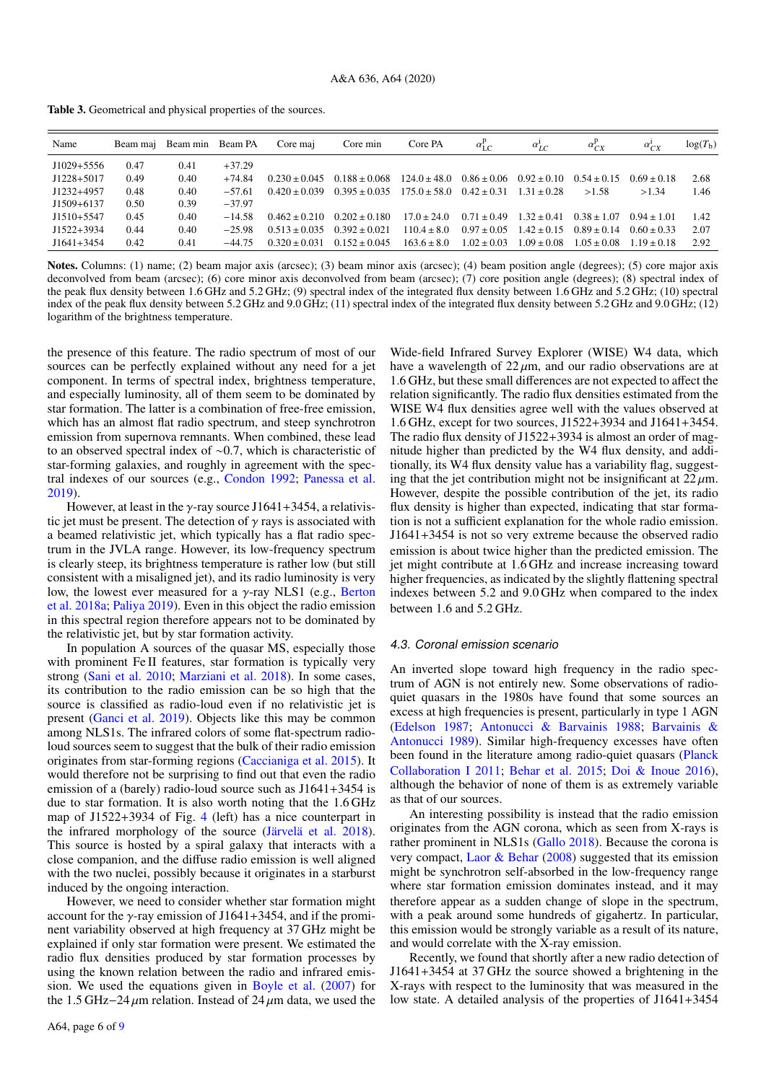<span id="page-6-0"></span>

| Table 3. Geometrical and physical properties of the sources. |  |  |  |  |
|--------------------------------------------------------------|--|--|--|--|
|--------------------------------------------------------------|--|--|--|--|

| Name           | Beam mai | Beam min Beam PA |          | Core mai          | Core min          | Core PA                          | $\alpha_{\text{LC}}^{\text{p}}$ | $\alpha_{IC}^{\rm L}$           | $\alpha_{CY}^{\rm p}$ | $\alpha_{CY}^{\prime}$ | log(T <sub>b</sub> ) |
|----------------|----------|------------------|----------|-------------------|-------------------|----------------------------------|---------------------------------|---------------------------------|-----------------------|------------------------|----------------------|
| $J1029+5556$   | 0.47     | 0.41             | $+37.29$ |                   |                   |                                  |                                 |                                 |                       |                        |                      |
| $J1228+5017$   | 0.49     | 0.40             | $+74.84$ | $0.230 + 0.045$   | $0.188 + 0.068$   | $124.0 \pm 48.0$                 |                                 | $0.86 \pm 0.06$ $0.92 \pm 0.10$ | $0.54 \pm 0.15$       | $0.69 + 0.18$          | 2.68                 |
| J1232+4957     | 0.48     | 0.40             | $-57.61$ | $0.420 + 0.039$   | $0.395 \pm 0.035$ | $175.0 \pm 58.0$ $0.42 \pm 0.31$ |                                 | $1.31 \pm 0.28$                 | >1.58                 | >1.34                  | 1.46                 |
| $J1509 + 6137$ | 0.50     | 0.39             | $-37.97$ |                   |                   |                                  |                                 |                                 |                       |                        |                      |
| $J1510+5547$   | 0.45     | 0.40             | $-14.58$ | $0.462 \pm 0.210$ | $0.202 \pm 0.180$ | $17.0 \pm 24.0$                  | $0.71 \pm 0.49$                 | $1.32 \pm 0.41$                 | $0.38 \pm 1.07$       | $0.94 + 1.01$          | 1.42                 |
| $J1522+3934$   | 0.44     | 0.40             | $-25.98$ | $0.513 + 0.035$   | $0.392 \pm 0.021$ | $110.4 \pm 8.0$                  | $0.97 \pm 0.05$                 | $1.42 \pm 0.15$                 | $0.89 \pm 0.14$       | $0.60 + 0.33$          | 2.07                 |
| $J1641 + 3454$ | 0.42     | 0.41             | $-44.75$ | $0.320 \pm 0.031$ | $0.152 \pm 0.045$ | $163.6 \pm 8.0$                  | $1.02 \pm 0.03$                 | $1.09 \pm 0.08$                 | $1.05 \pm 0.08$       | $1.19 \pm 0.18$        | 2.92                 |

Notes. Columns: (1) name; (2) beam major axis (arcsec); (3) beam minor axis (arcsec); (4) beam position angle (degrees); (5) core major axis deconvolved from beam (arcsec); (6) core minor axis deconvolved from beam (arcsec); (7) core position angle (degrees); (8) spectral index of the peak flux density between 1.6 GHz and 5.2 GHz; (9) spectral index of the integrated flux density between 1.6 GHz and 5.2 GHz; (10) spectral index of the peak flux density between 5.2 GHz and 9.0 GHz; (11) spectral index of the integrated flux density between 5.2 GHz and 9.0 GHz; (12) logarithm of the brightness temperature.

the presence of this feature. The radio spectrum of most of our sources can be perfectly explained without any need for a jet component. In terms of spectral index, brightness temperature, and especially luminosity, all of them seem to be dominated by star formation. The latter is a combination of free-free emission, which has an almost flat radio spectrum, and steep synchrotron emission from supernova remnants. When combined, these lead to an observed spectral index of ∼0.7, which is characteristic of star-forming galaxies, and roughly in agreement with the spectral indexes of our sources (e.g., [Condon 1992;](#page-9-44) [Panessa et al.](#page-9-45) [2019\)](#page-9-45).

However, at least in the  $\gamma$ -ray source J1641+3454, a relativistic jet must be present. The detection of  $\gamma$  rays is associated with a beamed relativistic jet, which typically has a flat radio spectrum in the JVLA range. However, its low-frequency spectrum is clearly steep, its brightness temperature is rather low (but still consistent with a misaligned jet), and its radio luminosity is very low, the lowest ever measured for a  $\gamma$ -ray NLS1 (e.g., [Berton](#page-9-26) [et al. 2018a;](#page-9-26) [Paliya 2019\)](#page-9-46). Even in this object the radio emission in this spectral region therefore appears not to be dominated by the relativistic jet, but by star formation activity.

In population A sources of the quasar MS, especially those with prominent Fe II features, star formation is typically very strong [\(Sani et al. 2010;](#page-9-47) [Marziani et al. 2018\)](#page-9-10). In some cases, its contribution to the radio emission can be so high that the source is classified as radio-loud even if no relativistic jet is present [\(Ganci et al. 2019\)](#page-9-48). Objects like this may be common among NLS1s. The infrared colors of some flat-spectrum radioloud sources seem to suggest that the bulk of their radio emission originates from star-forming regions [\(Caccianiga et al. 2015\)](#page-9-49). It would therefore not be surprising to find out that even the radio emission of a (barely) radio-loud source such as J1641+3454 is due to star formation. It is also worth noting that the 1.6 GHz map of J1522+3934 of Fig. [4](#page-4-1) (left) has a nice counterpart in the infrared morphology of the source [\(Järvelä et al. 2018\)](#page-9-35). This source is hosted by a spiral galaxy that interacts with a close companion, and the diffuse radio emission is well aligned with the two nuclei, possibly because it originates in a starburst induced by the ongoing interaction.

However, we need to consider whether star formation might account for the  $\gamma$ -ray emission of J1641+3454, and if the prominent variability observed at high frequency at 37 GHz might be explained if only star formation were present. We estimated the radio flux densities produced by star formation processes by using the known relation between the radio and infrared emission. We used the equations given in [Boyle et al.](#page-9-50) [\(2007\)](#page-9-50) for the 1.5 GHz–24  $\mu$ m relation. Instead of 24  $\mu$ m data, we used the

A64, page 6 of [9](#page-9-20)

Wide-field Infrared Survey Explorer (WISE) W4 data, which have a wavelength of  $22 \mu m$ , and our radio observations are at 1.6 GHz, but these small differences are not expected to affect the relation significantly. The radio flux densities estimated from the WISE W4 flux densities agree well with the values observed at 1.6 GHz, except for two sources, J1522+3934 and J1641+3454. The radio flux density of J1522+3934 is almost an order of magnitude higher than predicted by the W4 flux density, and additionally, its W4 flux density value has a variability flag, suggesting that the jet contribution might not be insignificant at  $22 \mu m$ . However, despite the possible contribution of the jet, its radio flux density is higher than expected, indicating that star formation is not a sufficient explanation for the whole radio emission. J1641+3454 is not so very extreme because the observed radio emission is about twice higher than the predicted emission. The jet might contribute at 1.6 GHz and increase increasing toward higher frequencies, as indicated by the slightly flattening spectral indexes between 5.2 and 9.0 GHz when compared to the index between 1.6 and 5.2 GHz.

#### <span id="page-6-1"></span>4.3. Coronal emission scenario

An inverted slope toward high frequency in the radio spectrum of AGN is not entirely new. Some observations of radioquiet quasars in the 1980s have found that some sources an excess at high frequencies is present, particularly in type 1 AGN [\(Edelson 1987;](#page-9-51) [Antonucci & Barvainis 1988;](#page-9-52) [Barvainis &](#page-9-53) [Antonucci 1989\)](#page-9-53). Similar high-frequency excesses have often been found in the literature among radio-quiet quasars [\(Planck](#page-9-54) [Collaboration I 2011;](#page-9-54) [Behar et al. 2015;](#page-9-55) [Doi & Inoue 2016\)](#page-9-56), although the behavior of none of them is as extremely variable as that of our sources.

An interesting possibility is instead that the radio emission originates from the AGN corona, which as seen from X-rays is rather prominent in NLS1s [\(Gallo 2018\)](#page-9-57). Because the corona is very compact, [Laor & Behar](#page-9-58) [\(2008\)](#page-9-58) suggested that its emission might be synchrotron self-absorbed in the low-frequency range where star formation emission dominates instead, and it may therefore appear as a sudden change of slope in the spectrum, with a peak around some hundreds of gigahertz. In particular, this emission would be strongly variable as a result of its nature, and would correlate with the X-ray emission.

Recently, we found that shortly after a new radio detection of J1641+3454 at 37 GHz the source showed a brightening in the X-rays with respect to the luminosity that was measured in the low state. A detailed analysis of the properties of J1641+3454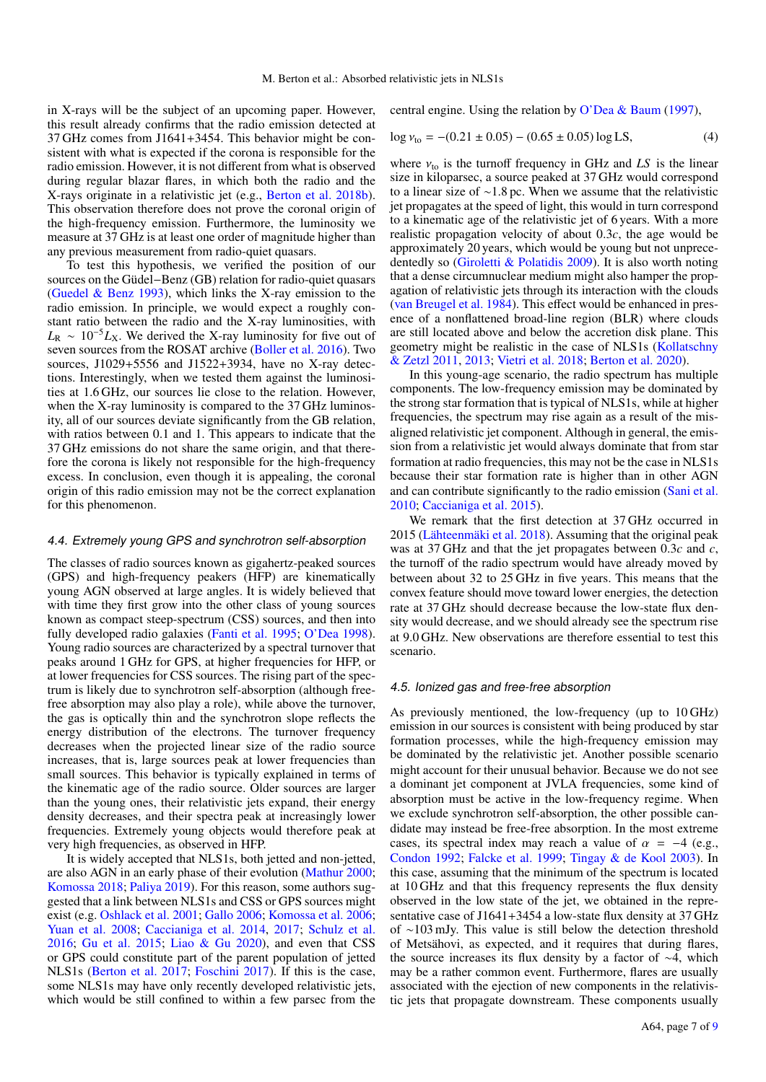in X-rays will be the subject of an upcoming paper. However, this result already confirms that the radio emission detected at 37 GHz comes from J1641+3454. This behavior might be consistent with what is expected if the corona is responsible for the radio emission. However, it is not different from what is observed during regular blazar flares, in which both the radio and the X-rays originate in a relativistic jet (e.g., [Berton et al. 2018b\)](#page-9-59). This observation therefore does not prove the coronal origin of the high-frequency emission. Furthermore, the luminosity we measure at 37 GHz is at least one order of magnitude higher than any previous measurement from radio-quiet quasars.

To test this hypothesis, we verified the position of our sources on the Güdel−Benz (GB) relation for radio-quiet quasars [\(Guedel & Benz 1993\)](#page-9-60), which links the X-ray emission to the radio emission. In principle, we would expect a roughly constant ratio between the radio and the X-ray luminosities, with  $L_R \sim 10^{-5} L_X$ . We derived the X-ray luminosity for five out of seven sources from the ROSAT archive [\(Boller et al. 2016\)](#page-9-61). Two sources, J1029+5556 and J1522+3934, have no X-ray detections. Interestingly, when we tested them against the luminosities at 1.6 GHz, our sources lie close to the relation. However, when the X-ray luminosity is compared to the 37 GHz luminosity, all of our sources deviate significantly from the GB relation, with ratios between 0.1 and 1. This appears to indicate that the 37 GHz emissions do not share the same origin, and that therefore the corona is likely not responsible for the high-frequency excess. In conclusion, even though it is appealing, the coronal origin of this radio emission may not be the correct explanation for this phenomenon.

## 4.4. Extremely young GPS and synchrotron self-absorption

The classes of radio sources known as gigahertz-peaked sources (GPS) and high-frequency peakers (HFP) are kinematically young AGN observed at large angles. It is widely believed that with time they first grow into the other class of young sources known as compact steep-spectrum (CSS) sources, and then into fully developed radio galaxies [\(Fanti et al. 1995;](#page-9-62) [O'Dea 1998\)](#page-9-63). Young radio sources are characterized by a spectral turnover that peaks around 1 GHz for GPS, at higher frequencies for HFP, or at lower frequencies for CSS sources. The rising part of the spectrum is likely due to synchrotron self-absorption (although freefree absorption may also play a role), while above the turnover, the gas is optically thin and the synchrotron slope reflects the energy distribution of the electrons. The turnover frequency decreases when the projected linear size of the radio source increases, that is, large sources peak at lower frequencies than small sources. This behavior is typically explained in terms of the kinematic age of the radio source. Older sources are larger than the young ones, their relativistic jets expand, their energy density decreases, and their spectra peak at increasingly lower frequencies. Extremely young objects would therefore peak at very high frequencies, as observed in HFP.

It is widely accepted that NLS1s, both jetted and non-jetted, are also AGN in an early phase of their evolution [\(Mathur 2000;](#page-9-13) [Komossa 2018;](#page-9-64) [Paliya 2019\)](#page-9-46). For this reason, some authors suggested that a link between NLS1s and CSS or GPS sources might exist (e.g. [Oshlack et al. 2001;](#page-9-65) [Gallo 2006;](#page-9-66) [Komossa et al. 2006;](#page-9-18) [Yuan et al. 2008;](#page-9-67) [Caccianiga et al. 2014,](#page-9-68) [2017;](#page-9-69) [Schulz et al.](#page-9-70) [2016;](#page-9-70) [Gu et al. 2015;](#page-9-71) [Liao & Gu 2020\)](#page-9-72), and even that CSS or GPS could constitute part of the parent population of jetted NLS1s [\(Berton et al. 2017;](#page-9-16) [Foschini 2017\)](#page-9-22). If this is the case, some NLS1s may have only recently developed relativistic jets, which would be still confined to within a few parsec from the

central engine. Using the relation by [O'Dea & Baum](#page-9-73) [\(1997\)](#page-9-73),

$$
\log \nu_{\text{to}} = -(0.21 \pm 0.05) - (0.65 \pm 0.05) \log \text{LS},\tag{4}
$$

where  $v_{\text{to}}$  is the turnoff frequency in GHz and *LS* is the linear size in kiloparsec, a source peaked at 37 GHz would correspond to a linear size of ∼1.8 pc. When we assume that the relativistic jet propagates at the speed of light, this would in turn correspond to a kinematic age of the relativistic jet of 6 years. With a more realistic propagation velocity of about 0.3*c*, the age would be approximately 20 years, which would be young but not unprecedentedly so [\(Giroletti & Polatidis 2009\)](#page-9-74). It is also worth noting that a dense circumnuclear medium might also hamper the propagation of relativistic jets through its interaction with the clouds [\(van Breugel et al. 1984\)](#page-9-75). This effect would be enhanced in presence of a nonflattened broad-line region (BLR) where clouds are still located above and below the accretion disk plane. This geometry might be realistic in the case of NLS1s [\(Kollatschny](#page-9-76) [& Zetzl 2011,](#page-9-76) [2013;](#page-9-77) [Vietri et al. 2018;](#page-9-78) [Berton et al. 2020\)](#page-9-17).

In this young-age scenario, the radio spectrum has multiple components. The low-frequency emission may be dominated by the strong star formation that is typical of NLS1s, while at higher frequencies, the spectrum may rise again as a result of the misaligned relativistic jet component. Although in general, the emission from a relativistic jet would always dominate that from star formation at radio frequencies, this may not be the case in NLS1s because their star formation rate is higher than in other AGN and can contribute significantly to the radio emission [\(Sani et al.](#page-9-47) [2010;](#page-9-47) [Caccianiga et al. 2015\)](#page-9-49).

We remark that the first detection at 37 GHz occurred in 2015 [\(Lähteenmäki et al. 2018\)](#page-9-30). Assuming that the original peak was at 37 GHz and that the jet propagates between 0.3*c* and *c*, the turnoff of the radio spectrum would have already moved by between about 32 to 25 GHz in five years. This means that the convex feature should move toward lower energies, the detection rate at 37 GHz should decrease because the low-state flux density would decrease, and we should already see the spectrum rise at 9.0 GHz. New observations are therefore essential to test this scenario.

#### 4.5. Ionized gas and free-free absorption

As previously mentioned, the low-frequency (up to 10 GHz) emission in our sources is consistent with being produced by star formation processes, while the high-frequency emission may be dominated by the relativistic jet. Another possible scenario might account for their unusual behavior. Because we do not see a dominant jet component at JVLA frequencies, some kind of absorption must be active in the low-frequency regime. When we exclude synchrotron self-absorption, the other possible candidate may instead be free-free absorption. In the most extreme cases, its spectral index may reach a value of  $\alpha = -4$  (e.g., [Condon 1992;](#page-9-44) [Falcke et al. 1999;](#page-9-79) [Tingay & de Kool 2003\)](#page-9-80). In this case, assuming that the minimum of the spectrum is located at 10 GHz and that this frequency represents the flux density observed in the low state of the jet, we obtained in the representative case of J1641+3454 a low-state flux density at 37 GHz of ∼103 mJy. This value is still below the detection threshold of Metsähovi, as expected, and it requires that during flares, the source increases its flux density by a factor of ∼4, which may be a rather common event. Furthermore, flares are usually associated with the ejection of new components in the relativistic jets that propagate downstream. These components usually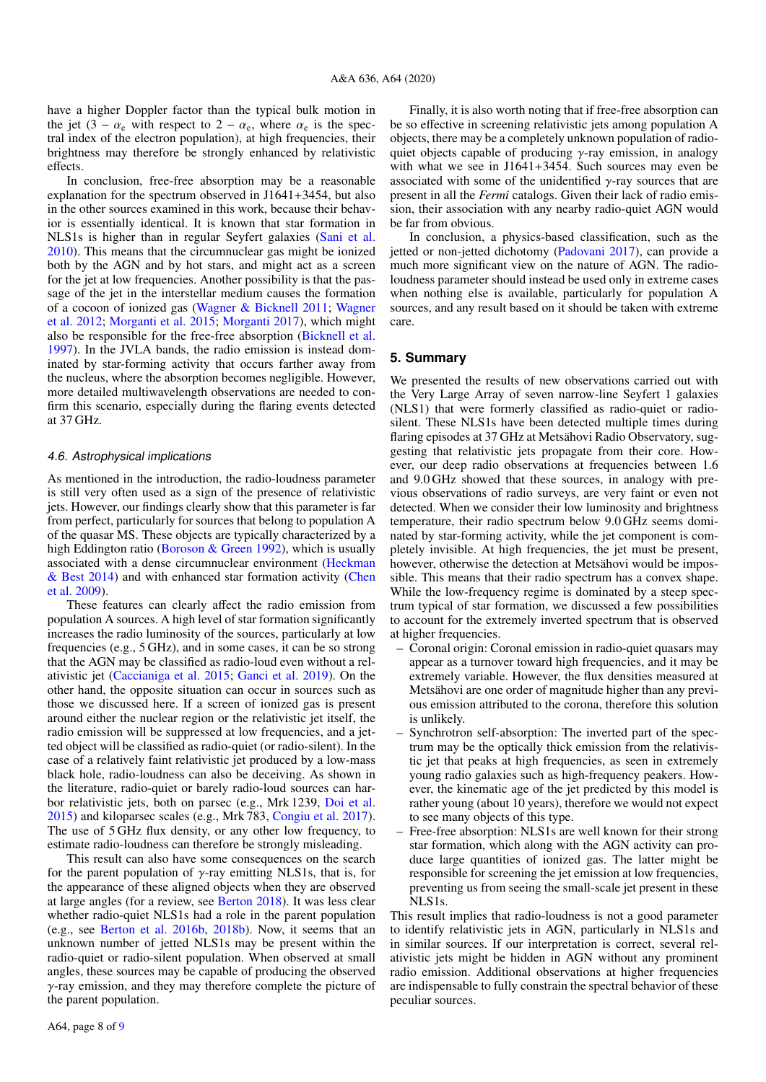have a higher Doppler factor than the typical bulk motion in the jet  $(3 - \alpha_e)$  with respect to  $2 - \alpha_e$ , where  $\alpha_e$  is the spectral index of the electron population), at high frequencies, their brightness may therefore be strongly enhanced by relativistic effects.

In conclusion, free-free absorption may be a reasonable explanation for the spectrum observed in J1641+3454, but also in the other sources examined in this work, because their behavior is essentially identical. It is known that star formation in NLS1s is higher than in regular Seyfert galaxies [\(Sani et al.](#page-9-47) [2010\)](#page-9-47). This means that the circumnuclear gas might be ionized both by the AGN and by hot stars, and might act as a screen for the jet at low frequencies. Another possibility is that the passage of the jet in the interstellar medium causes the formation of a cocoon of ionized gas [\(Wagner & Bicknell 2011;](#page-9-81) [Wagner](#page-9-82) [et al. 2012;](#page-9-82) [Morganti et al. 2015;](#page-9-83) [Morganti 2017\)](#page-9-84), which might also be responsible for the free-free absorption [\(Bicknell et al.](#page-9-85) [1997\)](#page-9-85). In the JVLA bands, the radio emission is instead dominated by star-forming activity that occurs farther away from the nucleus, where the absorption becomes negligible. However, more detailed multiwavelength observations are needed to confirm this scenario, especially during the flaring events detected at 37 GHz.

## 4.6. Astrophysical implications

As mentioned in the introduction, the radio-loudness parameter is still very often used as a sign of the presence of relativistic jets. However, our findings clearly show that this parameter is far from perfect, particularly for sources that belong to population A of the quasar MS. These objects are typically characterized by a high Eddington ratio [\(Boroson & Green 1992\)](#page-9-11), which is usually associated with a dense circumnuclear environment [\(Heckman](#page-9-21) [& Best 2014\)](#page-9-21) and with enhanced star formation activity [\(Chen](#page-9-86) [et al. 2009\)](#page-9-86).

These features can clearly affect the radio emission from population A sources. A high level of star formation significantly increases the radio luminosity of the sources, particularly at low frequencies (e.g., 5 GHz), and in some cases, it can be so strong that the AGN may be classified as radio-loud even without a relativistic jet [\(Caccianiga et al. 2015;](#page-9-49) [Ganci et al. 2019\)](#page-9-48). On the other hand, the opposite situation can occur in sources such as those we discussed here. If a screen of ionized gas is present around either the nuclear region or the relativistic jet itself, the radio emission will be suppressed at low frequencies, and a jetted object will be classified as radio-quiet (or radio-silent). In the case of a relatively faint relativistic jet produced by a low-mass black hole, radio-loudness can also be deceiving. As shown in the literature, radio-quiet or barely radio-loud sources can harbor relativistic jets, both on parsec (e.g., Mrk 1239, [Doi et al.](#page-9-87) [2015\)](#page-9-87) and kiloparsec scales (e.g., Mrk 783, [Congiu et al. 2017\)](#page-9-88). The use of 5 GHz flux density, or any other low frequency, to estimate radio-loudness can therefore be strongly misleading.

This result can also have some consequences on the search for the parent population of  $\gamma$ -ray emitting NLS1s, that is, for the appearance of these aligned objects when they are observed at large angles (for a review, see [Berton 2018\)](#page-9-89). It was less clear whether radio-quiet NLS1s had a role in the parent population (e.g., see [Berton et al. 2016b,](#page-9-90) [2018b\)](#page-9-59). Now, it seems that an unknown number of jetted NLS1s may be present within the radio-quiet or radio-silent population. When observed at small angles, these sources may be capable of producing the observed  $\gamma$ -ray emission, and they may therefore complete the picture of the parent population.

Finally, it is also worth noting that if free-free absorption can be so effective in screening relativistic jets among population A objects, there may be a completely unknown population of radioquiet objects capable of producing  $\gamma$ -ray emission, in analogy with what we see in J1641+3454. Such sources may even be associated with some of the unidentified  $\gamma$ -ray sources that are present in all the *Fermi* catalogs. Given their lack of radio emission, their association with any nearby radio-quiet AGN would be far from obvious.

In conclusion, a physics-based classification, such as the jetted or non-jetted dichotomy [\(Padovani 2017\)](#page-9-91), can provide a much more significant view on the nature of AGN. The radioloudness parameter should instead be used only in extreme cases when nothing else is available, particularly for population A sources, and any result based on it should be taken with extreme care.

## <span id="page-8-0"></span>**5. Summary**

We presented the results of new observations carried out with the Very Large Array of seven narrow-line Seyfert 1 galaxies (NLS1) that were formerly classified as radio-quiet or radiosilent. These NLS1s have been detected multiple times during flaring episodes at 37 GHz at Metsähovi Radio Observatory, suggesting that relativistic jets propagate from their core. However, our deep radio observations at frequencies between 1.6 and 9.0 GHz showed that these sources, in analogy with previous observations of radio surveys, are very faint or even not detected. When we consider their low luminosity and brightness temperature, their radio spectrum below 9.0 GHz seems dominated by star-forming activity, while the jet component is completely invisible. At high frequencies, the jet must be present, however, otherwise the detection at Metsähovi would be impossible. This means that their radio spectrum has a convex shape. While the low-frequency regime is dominated by a steep spectrum typical of star formation, we discussed a few possibilities to account for the extremely inverted spectrum that is observed at higher frequencies.

- Coronal origin: Coronal emission in radio-quiet quasars may appear as a turnover toward high frequencies, and it may be extremely variable. However, the flux densities measured at Metsähovi are one order of magnitude higher than any previous emission attributed to the corona, therefore this solution is unlikely.
- Synchrotron self-absorption: The inverted part of the spectrum may be the optically thick emission from the relativistic jet that peaks at high frequencies, as seen in extremely young radio galaxies such as high-frequency peakers. However, the kinematic age of the jet predicted by this model is rather young (about 10 years), therefore we would not expect to see many objects of this type.
- Free-free absorption: NLS1s are well known for their strong star formation, which along with the AGN activity can produce large quantities of ionized gas. The latter might be responsible for screening the jet emission at low frequencies, preventing us from seeing the small-scale jet present in these NLS1s.

This result implies that radio-loudness is not a good parameter to identify relativistic jets in AGN, particularly in NLS1s and in similar sources. If our interpretation is correct, several relativistic jets might be hidden in AGN without any prominent radio emission. Additional observations at higher frequencies are indispensable to fully constrain the spectral behavior of these peculiar sources.